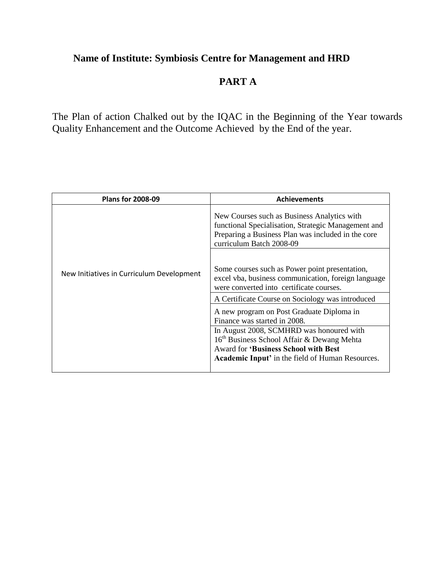# **Name of Institute: Symbiosis Centre for Management and HRD**

## **PART A**

The Plan of action Chalked out by the IQAC in the Beginning of the Year towards Quality Enhancement and the Outcome Achieved by the End of the year.

| <b>Plans for 2008-09</b>                  | <b>Achievements</b>                                                                                                                                                                                                                                                                |
|-------------------------------------------|------------------------------------------------------------------------------------------------------------------------------------------------------------------------------------------------------------------------------------------------------------------------------------|
|                                           | New Courses such as Business Analytics with<br>functional Specialisation, Strategic Management and<br>Preparing a Business Plan was included in the core<br>curriculum Batch 2008-09                                                                                               |
| New Initiatives in Curriculum Development | Some courses such as Power point presentation,<br>excel vba, business communication, foreign language<br>were converted into certificate courses.                                                                                                                                  |
|                                           | A Certificate Course on Sociology was introduced                                                                                                                                                                                                                                   |
|                                           | A new program on Post Graduate Diploma in<br>Finance was started in 2008.<br>In August 2008, SCMHRD was honoured with<br>16 <sup>th</sup> Business School Affair & Dewang Mehta<br><b>Award for 'Business School with Best</b><br>Academic Input' in the field of Human Resources. |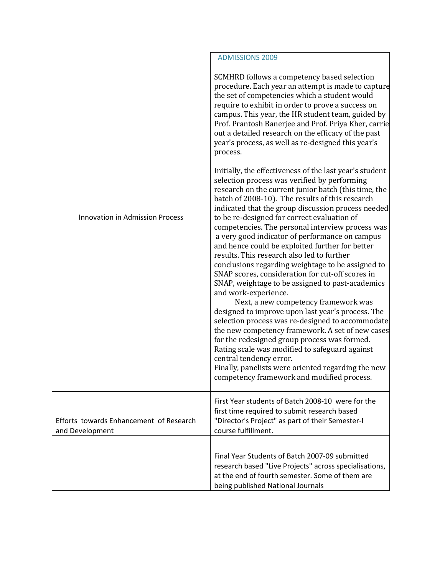|                                                            | <b>ADMISSIONS 2009</b>                                                                                                                                                                                                                                                                                                                                                                                                                                                                                                                                                                                                                                                                                                                                                                                                                                                                                                                                                                                                                                                                                                                                    |
|------------------------------------------------------------|-----------------------------------------------------------------------------------------------------------------------------------------------------------------------------------------------------------------------------------------------------------------------------------------------------------------------------------------------------------------------------------------------------------------------------------------------------------------------------------------------------------------------------------------------------------------------------------------------------------------------------------------------------------------------------------------------------------------------------------------------------------------------------------------------------------------------------------------------------------------------------------------------------------------------------------------------------------------------------------------------------------------------------------------------------------------------------------------------------------------------------------------------------------|
|                                                            | SCMHRD follows a competency based selection<br>procedure. Each year an attempt is made to capture<br>the set of competencies which a student would<br>require to exhibit in order to prove a success on<br>campus. This year, the HR student team, guided by<br>Prof. Prantosh Banerjee and Prof. Priya Kher, carrie<br>out a detailed research on the efficacy of the past<br>year's process, as well as re-designed this year's<br>process.                                                                                                                                                                                                                                                                                                                                                                                                                                                                                                                                                                                                                                                                                                             |
| <b>Innovation in Admission Process</b>                     | Initially, the effectiveness of the last year's student<br>selection process was verified by performing<br>research on the current junior batch (this time, the<br>batch of 2008-10). The results of this research<br>indicated that the group discussion process needed<br>to be re-designed for correct evaluation of<br>competencies. The personal interview process was<br>a very good indicator of performance on campus<br>and hence could be exploited further for better<br>results. This research also led to further<br>conclusions regarding weightage to be assigned to<br>SNAP scores, consideration for cut-off scores in<br>SNAP, weightage to be assigned to past-academics<br>and work-experience.<br>Next, a new competency framework was<br>designed to improve upon last year's process. The<br>selection process was re-designed to accommodate<br>the new competency framework. A set of new cases<br>for the redesigned group process was formed.<br>Rating scale was modified to safeguard against<br>central tendency error.<br>Finally, panelists were oriented regarding the new<br>competency framework and modified process. |
| Efforts towards Enhancement of Research<br>and Development | First Year students of Batch 2008-10 were for the<br>first time required to submit research based<br>"Director's Project" as part of their Semester-I<br>course fulfillment.                                                                                                                                                                                                                                                                                                                                                                                                                                                                                                                                                                                                                                                                                                                                                                                                                                                                                                                                                                              |
|                                                            | Final Year Students of Batch 2007-09 submitted<br>research based "Live Projects" across specialisations,<br>at the end of fourth semester. Some of them are<br>being published National Journals                                                                                                                                                                                                                                                                                                                                                                                                                                                                                                                                                                                                                                                                                                                                                                                                                                                                                                                                                          |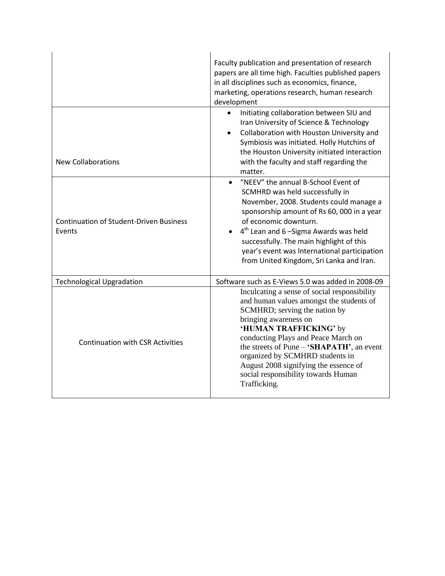|                                                          | Faculty publication and presentation of research<br>papers are all time high. Faculties published papers<br>in all disciplines such as economics, finance,<br>marketing, operations research, human research<br>development                                                                                                                                                                         |  |  |  |  |
|----------------------------------------------------------|-----------------------------------------------------------------------------------------------------------------------------------------------------------------------------------------------------------------------------------------------------------------------------------------------------------------------------------------------------------------------------------------------------|--|--|--|--|
| <b>New Collaborations</b>                                | Initiating collaboration between SIU and<br>$\bullet$<br>Iran University of Science & Technology<br>Collaboration with Houston University and<br>$\bullet$<br>Symbiosis was initiated. Holly Hutchins of<br>the Houston University initiated interaction<br>with the faculty and staff regarding the<br>matter.                                                                                     |  |  |  |  |
| <b>Continuation of Student-Driven Business</b><br>Events | "NEEV" the annual B-School Event of<br>$\bullet$<br>SCMHRD was held successfully in<br>November, 2008. Students could manage a<br>sponsorship amount of Rs 60, 000 in a year<br>of economic downturn.<br>4 <sup>th</sup> Lean and 6 – Sigma Awards was held<br>successfully. The main highlight of this<br>year's event was International participation<br>from United Kingdom, Sri Lanka and Iran. |  |  |  |  |
| <b>Technological Upgradation</b>                         | Software such as E-Views 5.0 was added in 2008-09                                                                                                                                                                                                                                                                                                                                                   |  |  |  |  |
| <b>Continuation with CSR Activities</b>                  | Inculcating a sense of social responsibility<br>and human values amongst the students of<br>SCMHRD; serving the nation by<br>bringing awareness on<br>'HUMAN TRAFFICKING' by<br>conducting Plays and Peace March on<br>the streets of Pune - 'SHAPATH', an event<br>organized by SCMHRD students in<br>August 2008 signifying the essence of<br>social responsibility towards Human<br>Trafficking. |  |  |  |  |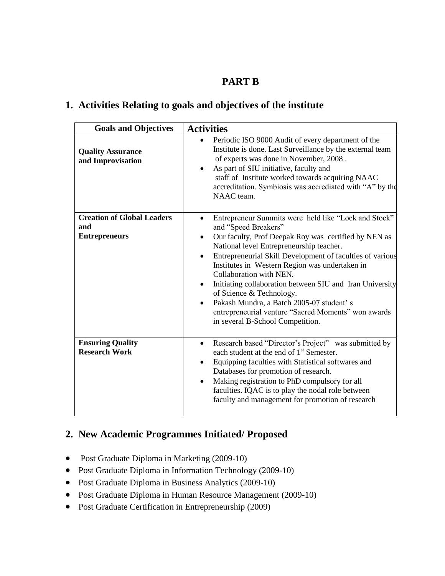## **PART B**

## **1. Activities Relating to goals and objectives of the institute**

| <b>Goals and Objectives</b>                                      | <b>Activities</b>                                                                                                                                                                                                                                                                                                                                                                                                                                                                                                                                                                   |
|------------------------------------------------------------------|-------------------------------------------------------------------------------------------------------------------------------------------------------------------------------------------------------------------------------------------------------------------------------------------------------------------------------------------------------------------------------------------------------------------------------------------------------------------------------------------------------------------------------------------------------------------------------------|
| <b>Quality Assurance</b><br>and Improvisation                    | Periodic ISO 9000 Audit of every department of the<br>Institute is done. Last Surveillance by the external team<br>of experts was done in November, 2008.<br>As part of SIU initiative, faculty and<br>staff of Institute worked towards acquiring NAAC<br>accreditation. Symbiosis was accrediated with "A" by the<br>NAAC team.                                                                                                                                                                                                                                                   |
| <b>Creation of Global Leaders</b><br>and<br><b>Entrepreneurs</b> | Entrepreneur Summits were held like "Lock and Stock"<br>$\bullet$<br>and "Speed Breakers"<br>Our faculty, Prof Deepak Roy was certified by NEN as<br>National level Entrepreneurship teacher.<br>Entrepreneurial Skill Development of faculties of various<br>Institutes in Western Region was undertaken in<br>Collaboration with NEN.<br>Initiating collaboration between SIU and Iran University<br>$\bullet$<br>of Science & Technology.<br>Pakash Mundra, a Batch 2005-07 student's<br>entrepreneurial venture "Sacred Moments" won awards<br>in several B-School Competition. |
| <b>Ensuring Quality</b><br><b>Research Work</b>                  | Research based "Director's Project" was submitted by<br>$\bullet$<br>each student at the end of 1 <sup>st</sup> Semester.<br>Equipping faculties with Statistical softwares and<br>$\bullet$<br>Databases for promotion of research.<br>Making registration to PhD compulsory for all<br>٠<br>faculties. IQAC is to play the nodal role between<br>faculty and management for promotion of research                                                                                                                                                                                 |

## **2. New Academic Programmes Initiated/ Proposed**

- Post Graduate Diploma in Marketing (2009-10)
- Post Graduate Diploma in Information Technology (2009-10)
- Post Graduate Diploma in Business Analytics (2009-10)
- Post Graduate Diploma in Human Resource Management (2009-10)
- Post Graduate Certification in Entrepreneurship (2009)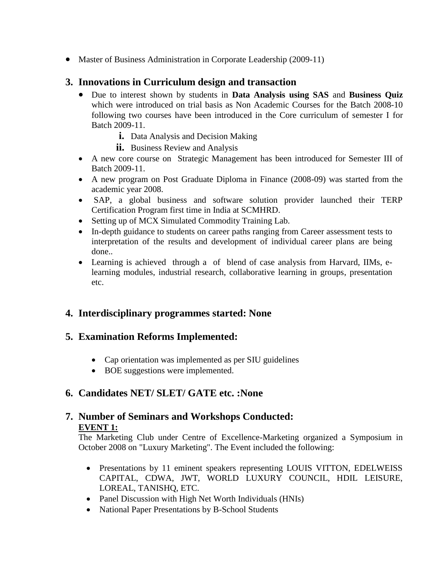• Master of Business Administration in Corporate Leadership (2009-11)

## **3. Innovations in Curriculum design and transaction**

- Due to interest shown by students in **Data Analysis using SAS** and **Business Quiz** which were introduced on trial basis as Non Academic Courses for the Batch 2008-10 following two courses have been introduced in the Core curriculum of semester I for Batch 2009-11.
	- **i.** Data Analysis and Decision Making
	- **ii.** Business Review and Analysis
- A new core course on Strategic Management has been introduced for Semester III of Batch 2009-11.
- A new program on Post Graduate Diploma in Finance (2008-09) was started from the academic year 2008.
- SAP, a global business and software solution provider launched their TERP Certification Program first time in India at SCMHRD.
- Setting up of MCX Simulated Commodity Training Lab.
- In-depth guidance to students on career paths ranging from Career assessment tests to interpretation of the results and development of individual career plans are being done..
- Learning is achieved through a of blend of case analysis from Harvard, IIMs, elearning modules, industrial research, collaborative learning in groups, presentation etc.

## **4. Interdisciplinary programmes started: None**

## **5. Examination Reforms Implemented:**

- Cap orientation was implemented as per SIU guidelines
- BOE suggestions were implemented.

## **6. Candidates NET/ SLET/ GATE etc. :None**

#### **7. Number of Seminars and Workshops Conducted: EVENT 1:**

The Marketing Club under Centre of Excellence-Marketing organized a Symposium in October 2008 on "Luxury Marketing". The Event included the following:

- Presentations by 11 eminent speakers representing LOUIS VITTON, EDELWEISS CAPITAL, CDWA, JWT, WORLD LUXURY COUNCIL, HDIL LEISURE, LOREAL, TANISHQ, ETC.
- Panel Discussion with High Net Worth Individuals (HNIs)
- National Paper Presentations by B-School Students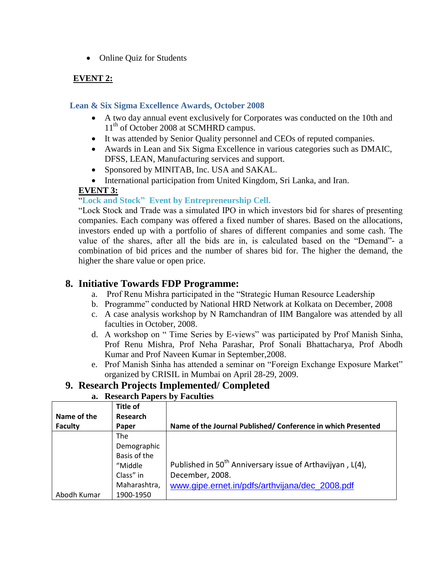• Online Quiz for Students

#### **EVENT 2:**

#### **Lean & Six Sigma Excellence Awards, October 2008**

- A two day annual event exclusively for Corporates was conducted on the 10th and 11<sup>th</sup> of October 2008 at SCMHRD campus.
- It was attended by Senior Quality personnel and CEOs of reputed companies.
- Awards in Lean and Six Sigma Excellence in various categories such as DMAIC, DFSS, LEAN, Manufacturing services and support.
- Sponsored by MINITAB, Inc. USA and SAKAL.
- International participation from United Kingdom, Sri Lanka, and Iran.

#### **EVENT 3:**

#### "**Lock and Stock" Event by Entrepreneurship Cell.**

"Lock Stock and Trade was a simulated IPO in which investors bid for shares of presenting companies. Each company was offered a fixed number of shares. Based on the allocations, investors ended up with a portfolio of shares of different companies and some cash. The value of the shares, after all the bids are in, is calculated based on the "Demand"- a combination of bid prices and the number of shares bid for. The higher the demand, the higher the share value or open price.

## **8. Initiative Towards FDP Programme:**

- a. Prof Renu Mishra participated in the "Strategic Human Resource Leadership
- b. Programme" conducted by National HRD Network at Kolkata on December, 2008
- c. A case analysis workshop by N Ramchandran of IIM Bangalore was attended by all faculties in October, 2008.
- d. A workshop on " Time Series by E-views" was participated by Prof Manish Sinha, Prof Renu Mishra, Prof Neha Parashar, Prof Sonali Bhattacharya, Prof Abodh Kumar and Prof Naveen Kumar in September,2008.
- e. Prof Manish Sinha has attended a seminar on "Foreign Exchange Exposure Market" organized by CRISIL in Mumbai on April 28-29, 2009.

## **9. Research Projects Implemented/ Completed**

#### **a. Research Papers by Faculties**

|                | Title of     |                                                                       |
|----------------|--------------|-----------------------------------------------------------------------|
| Name of the    | Research     |                                                                       |
| <b>Faculty</b> | Paper        | Name of the Journal Published/Conference in which Presented           |
|                | The          |                                                                       |
|                | Demographic  |                                                                       |
|                | Basis of the |                                                                       |
|                | "Middle      | Published in 50 <sup>th</sup> Anniversary issue of Arthavijyan, L(4), |
|                | Class" in    | December, 2008.                                                       |
|                | Maharashtra, | www.gipe.ernet.in/pdfs/arthvijana/dec_2008.pdf                        |
| Abodh Kumar    | 1900-1950    |                                                                       |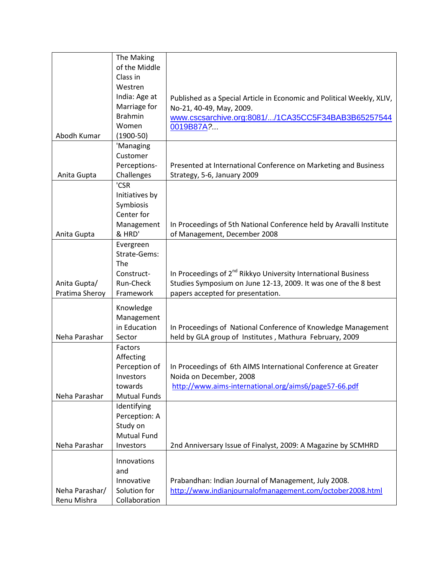|                | The Making          |                                                                            |
|----------------|---------------------|----------------------------------------------------------------------------|
|                | of the Middle       |                                                                            |
|                | Class in            |                                                                            |
|                | Westren             |                                                                            |
|                | India: Age at       | Published as a Special Article in Economic and Political Weekly, XLIV,     |
|                | Marriage for        | No-21, 40-49, May, 2009.                                                   |
|                | <b>Brahmin</b>      | www.cscsarchive.org:8081//1CA35CC5F34BAB3B65257544                         |
|                | Women               | 0019B87A?                                                                  |
| Abodh Kumar    | $(1900-50)$         |                                                                            |
|                | 'Managing           |                                                                            |
|                | Customer            |                                                                            |
|                | Perceptions-        | Presented at International Conference on Marketing and Business            |
| Anita Gupta    | Challenges          | Strategy, 5-6, January 2009                                                |
|                | 'CSR                |                                                                            |
|                | Initiatives by      |                                                                            |
|                | Symbiosis           |                                                                            |
|                | Center for          |                                                                            |
|                | Management          | In Proceedings of 5th National Conference held by Aravalli Institute       |
| Anita Gupta    | & HRD'              | of Management, December 2008                                               |
|                | Evergreen           |                                                                            |
|                | Strate-Gems:        |                                                                            |
|                | The                 |                                                                            |
|                | Construct-          | In Proceedings of 2 <sup>nd</sup> Rikkyo University International Business |
| Anita Gupta/   | Run-Check           | Studies Symposium on June 12-13, 2009. It was one of the 8 best            |
| Pratima Sheroy | Framework           | papers accepted for presentation.                                          |
|                | Knowledge           |                                                                            |
|                | Management          |                                                                            |
|                | in Education        | In Proceedings of National Conference of Knowledge Management              |
| Neha Parashar  | Sector              | held by GLA group of Institutes, Mathura February, 2009                    |
|                | Factors             |                                                                            |
|                | Affecting           |                                                                            |
|                | Perception of       | In Proceedings of 6th AIMS International Conference at Greater             |
|                | Investors           | Noida on December, 2008                                                    |
|                | towards             | http://www.aims-international.org/aims6/page57-66.pdf                      |
| Neha Parashar  | <b>Mutual Funds</b> |                                                                            |
|                | Identifying         |                                                                            |
|                | Perception: A       |                                                                            |
|                | Study on            |                                                                            |
|                | <b>Mutual Fund</b>  |                                                                            |
| Neha Parashar  | Investors           | 2nd Anniversary Issue of Finalyst, 2009: A Magazine by SCMHRD              |
|                |                     |                                                                            |
|                | Innovations         |                                                                            |
|                | and                 |                                                                            |
|                | Innovative          | Prabandhan: Indian Journal of Management, July 2008.                       |
| Neha Parashar/ | Solution for        | http://www.indianjournalofmanagement.com/october2008.html                  |
| Renu Mishra    | Collaboration       |                                                                            |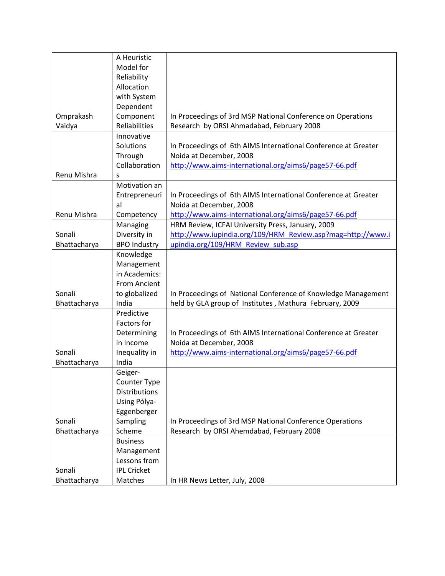|              | A Heuristic          |                                                                |
|--------------|----------------------|----------------------------------------------------------------|
|              | Model for            |                                                                |
|              | Reliability          |                                                                |
|              | Allocation           |                                                                |
|              | with System          |                                                                |
|              | Dependent            |                                                                |
| Omprakash    | Component            | In Proceedings of 3rd MSP National Conference on Operations    |
| Vaidya       | Reliabilities        | Research by ORSI Ahmadabad, February 2008                      |
|              | Innovative           |                                                                |
|              |                      |                                                                |
|              | Solutions            | In Proceedings of 6th AIMS International Conference at Greater |
|              | Through              | Noida at December, 2008                                        |
|              | Collaboration        | http://www.aims-international.org/aims6/page57-66.pdf          |
| Renu Mishra  | S                    |                                                                |
|              | Motivation an        |                                                                |
|              | Entrepreneuri        | In Proceedings of 6th AIMS International Conference at Greater |
|              | al                   | Noida at December, 2008                                        |
| Renu Mishra  | Competency           | http://www.aims-international.org/aims6/page57-66.pdf          |
|              | Managing             | HRM Review, ICFAI University Press, January, 2009              |
| Sonali       | Diversity in         | http://www.iupindia.org/109/HRM Review.asp?mag=http://www.i    |
| Bhattacharya | <b>BPO Industry</b>  | upindia.org/109/HRM_Review_sub.asp                             |
|              | Knowledge            |                                                                |
|              | Management           |                                                                |
|              | in Academics:        |                                                                |
|              | <b>From Ancient</b>  |                                                                |
| Sonali       | to globalized        | In Proceedings of National Conference of Knowledge Management  |
| Bhattacharya | India                | held by GLA group of Institutes, Mathura February, 2009        |
|              | Predictive           |                                                                |
|              | Factors for          |                                                                |
|              | Determining          | In Proceedings of 6th AIMS International Conference at Greater |
|              | in Income            | Noida at December, 2008                                        |
| Sonali       | Inequality in        | http://www.aims-international.org/aims6/page57-66.pdf          |
| Bhattacharya | India                |                                                                |
|              |                      |                                                                |
|              | Geiger-              |                                                                |
|              | Counter Type         |                                                                |
|              | <b>Distributions</b> |                                                                |
|              | Using Pólya-         |                                                                |
|              | Eggenberger          |                                                                |
| Sonali       | Sampling             | In Proceedings of 3rd MSP National Conference Operations       |
| Bhattacharya | Scheme               | Research by ORSI Ahemdabad, February 2008                      |
|              | <b>Business</b>      |                                                                |
|              | Management           |                                                                |
|              | Lessons from         |                                                                |
| Sonali       | <b>IPL Cricket</b>   |                                                                |
| Bhattacharya | Matches              | In HR News Letter, July, 2008                                  |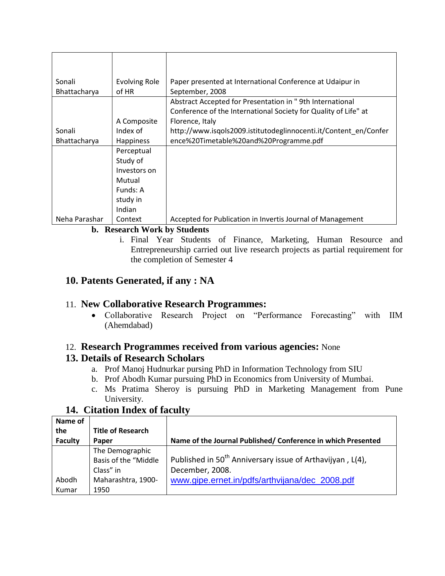| Sonali        | <b>Evolving Role</b> | Paper presented at International Conference at Udaipur in        |
|---------------|----------------------|------------------------------------------------------------------|
| Bhattacharya  | of HR                | September, 2008                                                  |
|               |                      | Abstract Accepted for Presentation in "9th International         |
|               |                      | Conference of the International Society for Quality of Life" at  |
|               | A Composite          | Florence, Italy                                                  |
| Sonali        | Index of             | http://www.isqols2009.istitutodeglinnocenti.it/Content en/Confer |
| Bhattacharya  | Happiness            | ence%20Timetable%20and%20Programme.pdf                           |
|               | Perceptual           |                                                                  |
|               | Study of             |                                                                  |
|               | Investors on         |                                                                  |
|               | Mutual               |                                                                  |
|               | Funds: A             |                                                                  |
|               | study in             |                                                                  |
|               | Indian               |                                                                  |
| Neha Parashar | Context              | Accepted for Publication in Invertis Journal of Management       |

#### **b. Research Work by Students**

i. Final Year Students of Finance, Marketing, Human Resource and Entrepreneurship carried out live research projects as partial requirement for the completion of Semester 4

## **10. Patents Generated, if any : NA**

#### 11. **New Collaborative Research Programmes:**

 Collaborative Research Project on "Performance Forecasting" with IIM (Ahemdabad)

## 12. **Research Programmes received from various agencies:** None

## **13. Details of Research Scholars**

- a. Prof Manoj Hudnurkar pursing PhD in Information Technology from SIU
- b. Prof Abodh Kumar pursuing PhD in Economics from University of Mumbai.
- c. Ms Pratima Sheroy is pursuing PhD in Marketing Management from Pune University.

| Name of        |                          |                                                                       |
|----------------|--------------------------|-----------------------------------------------------------------------|
| the            | <b>Title of Research</b> |                                                                       |
| <b>Faculty</b> | Paper                    | Name of the Journal Published/Conference in which Presented           |
|                | The Demographic          |                                                                       |
|                | Basis of the "Middle     | Published in 50 <sup>th</sup> Anniversary issue of Arthavijyan, L(4), |
|                | Class" in                | December, 2008.                                                       |
| Abodh          | Maharashtra, 1900-       | www.gipe.ernet.in/pdfs/arthvijana/dec_2008.pdf                        |
| Kumar          | 1950                     |                                                                       |

## **14. Citation Index of faculty**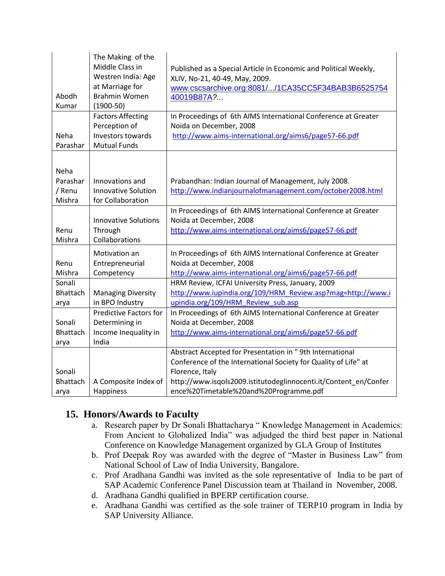| Abodh<br>Kumar                       | The Making of the<br>Middle Class in<br>Westren India: Age<br>at Marriage for<br><b>Brahmin Women</b><br>$(1900-50)$ | Published as a Special Article in Economic and Political Weekly,<br>XLIV, No-21, 40-49, May, 2009.<br>www.cscsarchive.org:8081//1CA35CC5F34BAB3B6525754<br>40019B87A?                                                                                         |
|--------------------------------------|----------------------------------------------------------------------------------------------------------------------|---------------------------------------------------------------------------------------------------------------------------------------------------------------------------------------------------------------------------------------------------------------|
|                                      | <b>Factors Affecting</b><br>Perception of                                                                            | In Proceedings of 6th AIMS International Conference at Greater<br>Noida on December, 2008                                                                                                                                                                     |
| Neha<br>Parashar                     | Investors towards<br><b>Mutual Funds</b>                                                                             | http://www.aims-international.org/aims6/page57-66.pdf                                                                                                                                                                                                         |
| Neha<br>Parashar<br>/ Renu<br>Mishra | Innovations and<br><b>Innovative Solution</b><br>for Collaboration                                                   | Prabandhan: Indian Journal of Management, July 2008.<br>http://www.indianjournalofmanagement.com/october2008.html                                                                                                                                             |
|                                      | <b>Innovative Solutions</b>                                                                                          | In Proceedings of 6th AIMS International Conference at Greater<br>Noida at December, 2008                                                                                                                                                                     |
| Renu<br>Mishra                       | Through<br>Collaborations                                                                                            | http://www.aims-international.org/aims6/page57-66.pdf                                                                                                                                                                                                         |
| Renu<br>Mishra                       | Motivation an<br>Entrepreneurial<br>Competency                                                                       | In Proceedings of 6th AIMS International Conference at Greater<br>Noida at December, 2008<br>http://www.aims-international.org/aims6/page57-66.pdf                                                                                                            |
| Sonali<br><b>Bhattach</b><br>arya    | <b>Managing Diversity</b><br>in BPO Industry                                                                         | HRM Review, ICFAI University Press, January, 2009<br>http://www.iupindia.org/109/HRM Review.asp?mag=http://www.i<br>upindia.org/109/HRM Review sub.asp                                                                                                        |
| Sonali<br><b>Bhattach</b><br>arya    | <b>Predictive Factors for</b><br>Determining in<br>Income Inequality in<br>India                                     | In Proceedings of 6th AIMS International Conference at Greater<br>Noida at December, 2008<br>http://www.aims-international.org/aims6/page57-66.pdf                                                                                                            |
| Sonali<br>Bhattach<br>arya           | A Composite Index of<br>Happiness                                                                                    | Abstract Accepted for Presentation in " 9th International<br>Conference of the International Society for Quality of Life" at<br>Florence, Italy<br>http://www.isqols2009.istitutodeglinnocenti.it/Content_en/Confer<br>ence%20Timetable%20and%20Programme.pdf |

## **15. Honors/Awards to Faculty**

- a. Research paper by Dr Sonali Bhattacharya " Knowledge Management in Academics: From Ancient to Globalized India" was adjudged the third best paper in National Conference on Knowledge Management organized by GLA Group of Institutes
- b. Prof Deepak Roy was awarded with the degree of "Master in Business Law" from National School of Law of India University, Bangalore.
- c. Prof Aradhana Gandhi was invited as the sole representative of India to be part of SAP Academic Conference Panel Discussion team at Thailand in November, 2008.
- d. Aradhana Gandhi qualified in BPERP certification course.
- e. Aradhana Gandhi was certified as the sole trainer of TERP10 program in India by SAP University Alliance.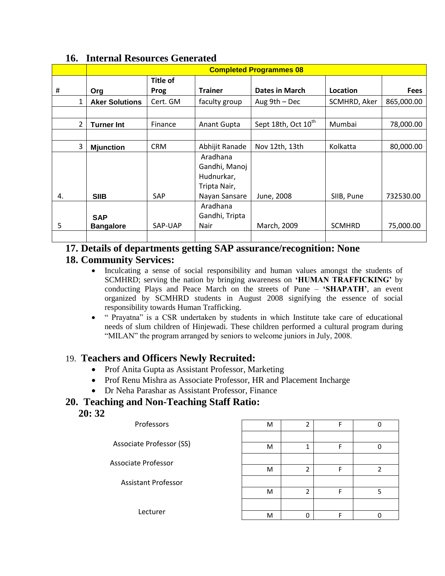|    |   | <b>Completed Programmes 08</b> |                 |                |                                 |               |             |
|----|---|--------------------------------|-----------------|----------------|---------------------------------|---------------|-------------|
|    |   |                                | <b>Title of</b> |                |                                 |               |             |
| Ħ, |   | Org                            | Prog            | <b>Trainer</b> | <b>Dates in March</b>           | Location      | <b>Fees</b> |
|    | 1 | <b>Aker Solutions</b>          | Cert. GM        | faculty group  | Aug $9th$ – Dec                 | SCMHRD, Aker  | 865,000.00  |
|    |   |                                |                 |                |                                 |               |             |
|    | 2 | <b>Turner Int</b>              | Finance         | Anant Gupta    | Sept 18th, Oct 10 <sup>th</sup> | Mumbai        | 78,000.00   |
|    |   |                                |                 |                |                                 |               |             |
|    | 3 | <b>M</b> junction              | <b>CRM</b>      | Abhijit Ranade | Nov 12th, 13th                  | Kolkatta      | 80,000.00   |
|    |   |                                |                 | Aradhana       |                                 |               |             |
|    |   |                                |                 | Gandhi, Manoj  |                                 |               |             |
|    |   |                                |                 | Hudnurkar,     |                                 |               |             |
|    |   |                                |                 | Tripta Nair,   |                                 |               |             |
| 4. |   | <b>SIIB</b>                    | <b>SAP</b>      | Nayan Sansare  | June, 2008                      | SIIB, Pune    | 732530.00   |
|    |   |                                |                 | Aradhana       |                                 |               |             |
|    |   | <b>SAP</b>                     |                 | Gandhi, Tripta |                                 |               |             |
| 5  |   | <b>Bangalore</b>               | SAP-UAP         | Nair           | March, 2009                     | <b>SCMHRD</b> | 75,000.00   |
|    |   |                                |                 |                |                                 |               |             |

## **16. Internal Resources Generated**

#### **17. Details of departments getting SAP assurance/recognition: None**

#### **18. Community Services:**

- Inculcating a sense of social responsibility and human values amongst the students of SCMHRD; serving the nation by bringing awareness on **'HUMAN TRAFFICKING'** by conducting Plays and Peace March on the streets of Pune – **'SHAPATH'**, an event organized by SCMHRD students in August 2008 signifying the essence of social responsibility towards Human Trafficking.
- " Prayatna" is a CSR undertaken by students in which Institute take care of educational needs of slum children of Hinjewadi. These children performed a cultural program during "MILAN" the program arranged by seniors to welcome juniors in July, 2008.

#### 19. **Teachers and Officers Newly Recruited:**

- Prof Anita Gupta as Assistant Professor, Marketing
- Prof Renu Mishra as Associate Professor, HR and Placement Incharge
- Dr Neha Parashar as Assistant Professor, Finance

#### **20. Teaching and Non-Teaching Staff Ratio:**

**20: 32**

| Professors                 | M |   |   |  |
|----------------------------|---|---|---|--|
| Associate Professor (SS)   |   |   |   |  |
|                            | M |   |   |  |
| <b>Associate Professor</b> |   |   |   |  |
|                            | M | h | F |  |
| <b>Assistant Professor</b> |   |   |   |  |
|                            | M | h | F |  |
|                            |   |   |   |  |
| Lecturer                   | M |   |   |  |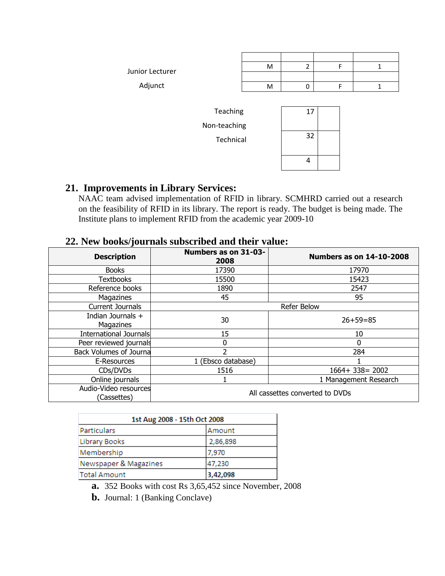| Junior Lecturer | M |  |  |
|-----------------|---|--|--|
|                 |   |  |  |
| Adjunct         | M |  |  |
|                 |   |  |  |

 Teaching Non-teaching Technical 17 1

# 32 3 4 4

## **21. Improvements in Library Services:**

NAAC team advised implementation of RFID in library. SCMHRD carried out a research on the feasibility of RFID in its library. The report is ready. The budget is being made. The Institute plans to implement RFID from the academic year 2009-10

## **22. New books/journals subscribed and their value:**

| <b>Description</b>                   | Numbers as on 31-03-<br>2008    | <b>Numbers as on 14-10-2008</b> |  |
|--------------------------------------|---------------------------------|---------------------------------|--|
| <b>Books</b>                         | 17390                           | 17970                           |  |
| <b>Textbooks</b>                     | 15500                           | 15423                           |  |
| Reference books                      | 1890                            | 2547                            |  |
| Magazines                            | 45                              | 95                              |  |
| Current Journals                     | Refer Below                     |                                 |  |
| Indian Journals +<br>Magazines       | 30                              | $26+59=85$                      |  |
| International Journals               | 15                              | 10                              |  |
| Peer reviewed journals               | 0                               | $\Omega$                        |  |
| <b>Back Volumes of Journa</b>        | า                               | 284                             |  |
| E-Resources                          | 1 (Ebsco database)              |                                 |  |
| CDs/DVDs                             | 1516                            | $1664 + 338 = 2002$             |  |
| Online journals                      |                                 | 1 Management Research           |  |
| Audio-Video resources<br>(Cassettes) | All cassettes converted to DVDs |                                 |  |

| 1st Aug 2008 - 15th Oct 2008 |          |  |
|------------------------------|----------|--|
| <b>Particulars</b>           | Amount   |  |
| Library Books                | 2,86,898 |  |
| Membership                   | 7,970    |  |
| Newspaper & Magazines        | 47,230   |  |
| <b>Total Amount</b>          | 3,42,098 |  |

**a.** 352 Books with cost Rs 3,65,452 since November, 2008

**b.** Journal: 1 (Banking Conclave)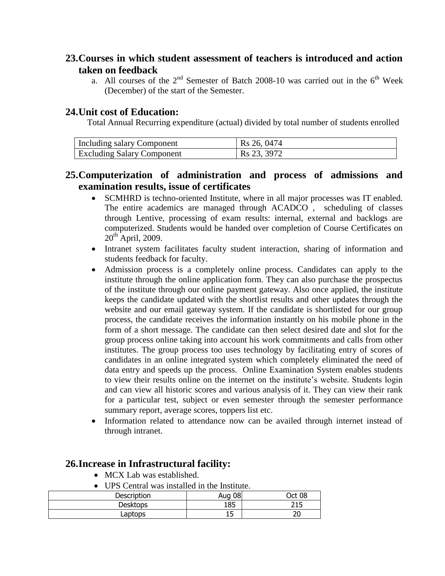### **23.Courses in which student assessment of teachers is introduced and action taken on feedback**

a. All courses of the  $2^{nd}$  Semester of Batch 2008-10 was carried out in the  $6^{th}$  Week (December) of the start of the Semester.

#### **24.Unit cost of Education:**

Total Annual Recurring expenditure (actual) divided by total number of students enrolled

| Including salary Component        | Rs 26, 0474 |
|-----------------------------------|-------------|
| <b>Excluding Salary Component</b> | Rs 23, 3972 |

## **25.Computerization of administration and process of admissions and examination results, issue of certificates**

- SCMHRD is techno-oriented Institute, where in all major processes was IT enabled. The entire academics are managed through ACADCO , scheduling of classes through Lentive, processing of exam results: internal, external and backlogs are computerized. Students would be handed over completion of Course Certificates on  $20<sup>th</sup>$  April, 2009.
- Intranet system facilitates faculty student interaction, sharing of information and students feedback for faculty.
- Admission process is a completely online process. Candidates can apply to the institute through the online application form. They can also purchase the prospectus of the institute through our online payment gateway. Also once applied, the institute keeps the candidate updated with the shortlist results and other updates through the website and our email gateway system. If the candidate is shortlisted for our group process, the candidate receives the information instantly on his mobile phone in the form of a short message. The candidate can then select desired date and slot for the group process online taking into account his work commitments and calls from other institutes. The group process too uses technology by facilitating entry of scores of candidates in an online integrated system which completely eliminated the need of data entry and speeds up the process. Online Examination System enables students to view their results online on the internet on the institute"s website. Students login and can view all historic scores and various analysis of it. They can view their rank for a particular test, subject or even semester through the semester performance summary report, average scores, toppers list etc.
- Information related to attendance now can be availed through internet instead of through intranet.

#### **26.Increase in Infrastructural facility:**

- MCX Lab was established.
- UPS Central was installed in the Institute.

| Description | Aug 08 | Oct 08 |
|-------------|--------|--------|
| Desktops    | 185    | つ1ロ    |
| Laptops     | ᅩ      |        |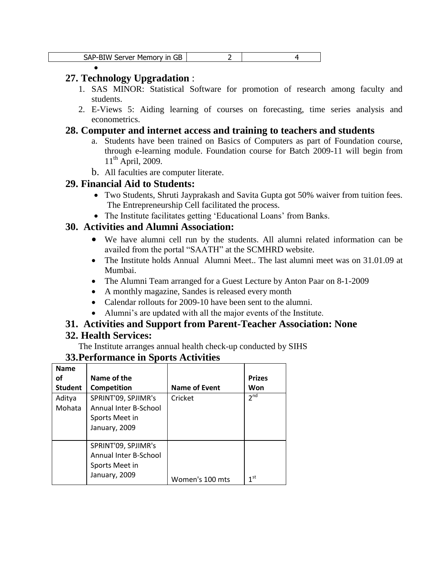| ם.<br>$\mathbf{r}$<br>.<br>.<br>W.<br><br>، ب<br>n<br>---- --- |  |  |
|----------------------------------------------------------------|--|--|
|----------------------------------------------------------------|--|--|

#### **27. Technology Upgradation** :

 $\bullet$ 

- 1. SAS MINOR: Statistical Software for promotion of research among faculty and students.
- 2. E-Views 5: Aiding learning of courses on forecasting, time series analysis and econometrics.

#### **28. Computer and internet access and training to teachers and students**

- a. Students have been trained on Basics of Computers as part of Foundation course, through e-learning module. Foundation course for Batch 2009-11 will begin from  $11<sup>th</sup>$  April, 2009.
- b. All faculties are computer literate.

#### **29. Financial Aid to Students:**

- Two Students, Shruti Jayprakash and Savita Gupta got 50% waiver from tuition fees. The Entrepreneurship Cell facilitated the process.
- The Institute facilitates getting 'Educational Loans' from Banks.

#### **30. Activities and Alumni Association:**

- We have alumni cell run by the students. All alumni related information can be availed from the portal "SAATH" at the SCMHRD website.
- The Institute holds Annual Alumni Meet.. The last alumni meet was on 31.01.09 at Mumbai.
- The Alumni Team arranged for a Guest Lecture by Anton Paar on 8-1-2009
- A monthly magazine, Sandes is released every month
- Calendar rollouts for 2009-10 have been sent to the alumni.
- Alumni's are updated with all the major events of the Institute.

#### **31. Activities and Support from Parent-Teacher Association: None**

#### **32. Health Services:**

The Institute arranges annual health check-up conducted by SIHS

#### **33.Performance in Sports Activities**

| <b>Name</b>      |                                                                                 |                      |                 |
|------------------|---------------------------------------------------------------------------------|----------------------|-----------------|
| οf               | Name of the                                                                     |                      | <b>Prizes</b>   |
| <b>Student</b>   | Competition                                                                     | <b>Name of Event</b> | Won             |
| Aditya<br>Mohata | SPRINT'09, SPJIMR's<br>Annual Inter B-School<br>Sports Meet in<br>January, 2009 | Cricket              | 2 <sup>nd</sup> |
|                  | SPRINT'09, SPJIMR's<br>Annual Inter B-School<br>Sports Meet in<br>January, 2009 | Women's 100 mts      | 1 <sup>st</sup> |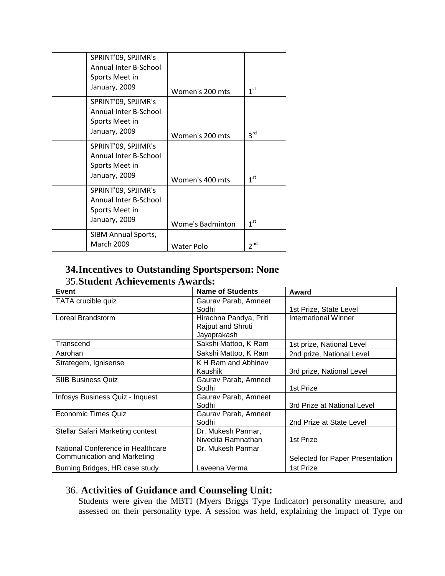| SPRINT'09, SPJIMR's        |                  |                 |
|----------------------------|------------------|-----------------|
| Annual Inter B-School      |                  |                 |
| Sports Meet in             |                  |                 |
| January, 2009              | Women's 200 mts  | 1 <sup>st</sup> |
| SPRINT'09, SPJIMR's        |                  |                 |
| Annual Inter B-School      |                  |                 |
| Sports Meet in             |                  |                 |
| January, 2009              | Women's 200 mts  | 3 <sup>rd</sup> |
| SPRINT'09, SPJIMR's        |                  |                 |
| Annual Inter B-School      |                  |                 |
| Sports Meet in             |                  |                 |
| January, 2009              | Women's 400 mts  | 1 <sup>st</sup> |
| SPRINT'09, SPJIMR's        |                  |                 |
| Annual Inter B-School      |                  |                 |
| Sports Meet in             |                  |                 |
| January, 2009              | Wome's Badminton | 1 <sup>st</sup> |
| <b>SIBM Annual Sports,</b> |                  |                 |
| March 2009                 | Water Polo       | 2 <sup>nd</sup> |

## **34.Incentives to Outstanding Sportsperson: None** 35.**Student Achievements Awards:**

| <b>Event</b>                       | <b>Name of Students</b> | Award                           |
|------------------------------------|-------------------------|---------------------------------|
| TATA crucible quiz                 | Gaurav Parab, Amneet    |                                 |
|                                    | Sodhi                   | 1st Prize, State Level          |
| Loreal Brandstorm                  | Hirachna Pandya, Priti  | International Winner            |
|                                    | Rajput and Shruti       |                                 |
|                                    | Jayaprakash             |                                 |
| Transcend                          | Sakshi Mattoo, K Ram    | 1st prize, National Level       |
| Aarohan                            | Sakshi Mattoo, K Ram    | 2nd prize, National Level       |
| Strategem, Ignisense               | K H Ram and Abhinav     |                                 |
|                                    | Kaushik                 | 3rd prize, National Level       |
| <b>SIIB Business Quiz</b>          | Gaurav Parab, Amneet    |                                 |
|                                    | Sodhi                   | 1st Prize                       |
| Infosys Business Quiz - Inquest    | Gaurav Parab, Amneet    |                                 |
|                                    | Sodhi                   | 3rd Prize at National Level     |
| Economic Times Quiz                | Gaurav Parab, Amneet    |                                 |
|                                    | Sodhi                   | 2nd Prize at State Level        |
| Stellar Safari Marketing contest   | Dr. Mukesh Parmar,      |                                 |
|                                    | Nivedita Ramnathan      | 1st Prize                       |
| National Conference in Healthcare  | Dr. Mukesh Parmar       |                                 |
| <b>Communication and Marketing</b> |                         | Selected for Paper Presentation |
| Burning Bridges, HR case study     | Laveena Verma           | 1st Prize                       |

## 36. **Activities of Guidance and Counseling Unit:**

Students were given the MBTI (Myers Briggs Type Indicator) personality measure, and assessed on their personality type. A session was held, explaining the impact of Type on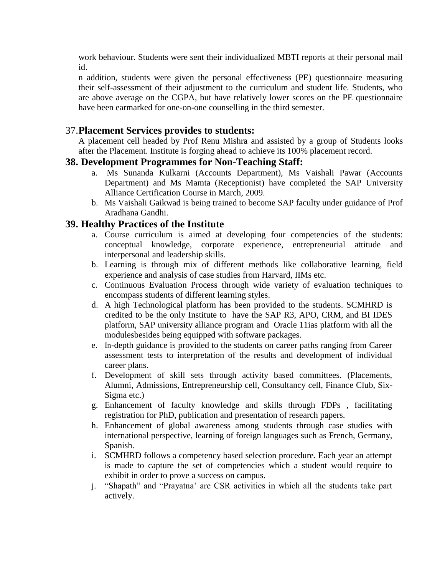work behaviour. Students were sent their individualized MBTI reports at their personal mail id.

n addition, students were given the personal effectiveness (PE) questionnaire measuring their self-assessment of their adjustment to the curriculum and student life. Students, who are above average on the CGPA, but have relatively lower scores on the PE questionnaire have been earmarked for one-on-one counselling in the third semester.

#### 37.**Placement Services provides to students:**

A placement cell headed by Prof Renu Mishra and assisted by a group of Students looks after the Placement. Institute is forging ahead to achieve its 100% placement record.

#### **38. Development Programmes for Non-Teaching Staff:**

- a. Ms Sunanda Kulkarni (Accounts Department), Ms Vaishali Pawar (Accounts Department) and Ms Mamta (Receptionist) have completed the SAP University Alliance Certification Course in March, 2009.
- b. Ms Vaishali Gaikwad is being trained to become SAP faculty under guidance of Prof Aradhana Gandhi.

#### **39. Healthy Practices of the Institute**

- a. Course curriculum is aimed at developing four competencies of the students: conceptual knowledge, corporate experience, entrepreneurial attitude and interpersonal and leadership skills.
- b. Learning is through mix of different methods like collaborative learning, field experience and analysis of case studies from Harvard, IIMs etc.
- c. Continuous Evaluation Process through wide variety of evaluation techniques to encompass students of different learning styles.
- d. A high Technological platform has been provided to the students. SCMHRD is credited to be the only Institute to have the SAP R3, APO, CRM, and BI IDES platform, SAP university alliance program and Oracle 11ias platform with all the modulesbesides being equipped with software packages.
- e. In-depth guidance is provided to the students on career paths ranging from Career assessment tests to interpretation of the results and development of individual career plans.
- f. Development of skill sets through activity based committees. (Placements, Alumni, Admissions, Entrepreneurship cell, Consultancy cell, Finance Club, Six-Sigma etc.)
- g. Enhancement of faculty knowledge and skills through FDPs , facilitating registration for PhD, publication and presentation of research papers.
- h. Enhancement of global awareness among students through case studies with international perspective, learning of foreign languages such as French, Germany, Spanish.
- i. SCMHRD follows a competency based selection procedure. Each year an attempt is made to capture the set of competencies which a student would require to exhibit in order to prove a success on campus.
- j. "Shapath" and "Prayatna" are CSR activities in which all the students take part actively.